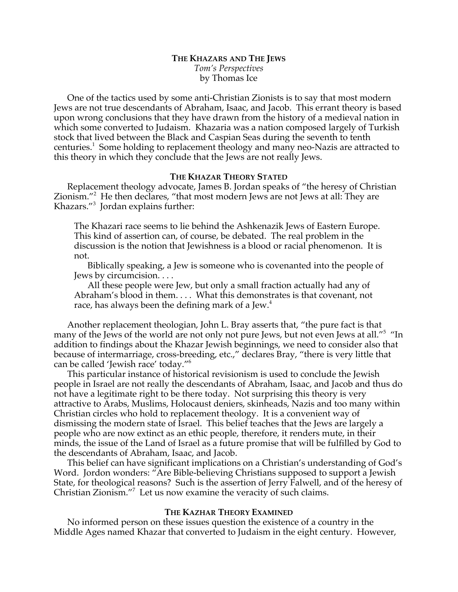# **THE KHAZARS AND THE JEWS** *Tom's Perspectives* by Thomas Ice

One of the tactics used by some anti-Christian Zionists is to say that most modern Jews are not true descendants of Abraham, Isaac, and Jacob. This errant theory is based upon wrong conclusions that they have drawn from the history of a medieval nation in which some converted to Judaism. Khazaria was a nation composed largely of Turkish stock that lived between the Black and Caspian Seas during the seventh to tenth centuries.<sup>1</sup> Some holding to replacement theology and many neo-Nazis are attracted to this theory in which they conclude that the Jews are not really Jews.

## **THE KHAZAR THEORY STATED**

Replacement theology advocate, James B. Jordan speaks of "the heresy of Christian Zionism."<sup>2</sup> He then declares, "that most modern Jews are not Jews at all: They are Khazars."<sup>3</sup> Jordan explains further:

The Khazari race seems to lie behind the Ashkenazik Jews of Eastern Europe. This kind of assertion can, of course, be debated. The real problem in the discussion is the notion that Jewishness is a blood or racial phenomenon. It is not.

Biblically speaking, a Jew is someone who is covenanted into the people of Jews by circumcision. . . .

All these people were Jew, but only a small fraction actually had any of Abraham's blood in them. . . . What this demonstrates is that covenant, not race, has always been the defining mark of a Jew. $<sup>4</sup>$ </sup>

Another replacement theologian, John L. Bray asserts that, "the pure fact is that many of the Jews of the world are not only not pure Jews, but not even Jews at all."<sup>5</sup> "In addition to findings about the Khazar Jewish beginnings, we need to consider also that because of intermarriage, cross-breeding, etc.," declares Bray, "there is very little that can be called 'Jewish race' today."6

This particular instance of historical revisionism is used to conclude the Jewish people in Israel are not really the descendants of Abraham, Isaac, and Jacob and thus do not have a legitimate right to be there today. Not surprising this theory is very attractive to Arabs, Muslims, Holocaust deniers, skinheads, Nazis and too many within Christian circles who hold to replacement theology. It is a convenient way of dismissing the modern state of Israel. This belief teaches that the Jews are largely a people who are now extinct as an ethic people, therefore, it renders mute, in their minds, the issue of the Land of Israel as a future promise that will be fulfilled by God to the descendants of Abraham, Isaac, and Jacob.

This belief can have significant implications on a Christian's understanding of God's Word. Jordon wonders: "Are Bible-believing Christians supposed to support a Jewish State, for theological reasons? Such is the assertion of Jerry Falwell, and of the heresy of Christian Zionism."<sup>7</sup> Let us now examine the veracity of such claims.

#### **THE KAZHAR THEORY EXAMINED**

No informed person on these issues question the existence of a country in the Middle Ages named Khazar that converted to Judaism in the eight century. However,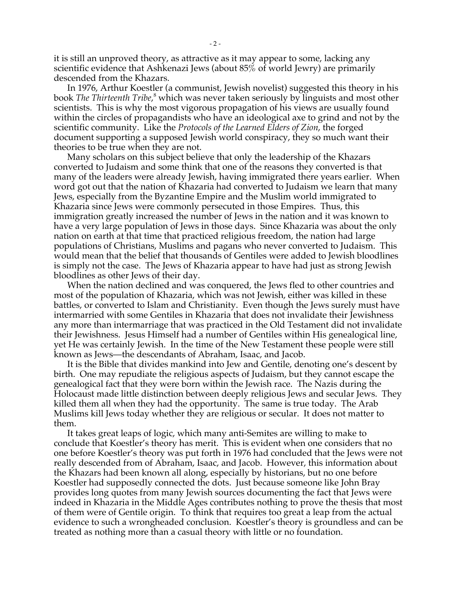it is still an unproved theory, as attractive as it may appear to some, lacking any scientific evidence that Ashkenazi Jews (about 85% of world Jewry) are primarily descended from the Khazars.

In 1976, Arthur Koestler (a communist, Jewish novelist) suggested this theory in his book *The Thirteenth Tribe,*<sup>8</sup> which was never taken seriously by linguists and most other scientists. This is why the most vigorous propagation of his views are usually found within the circles of propagandists who have an ideological axe to grind and not by the scientific community. Like the *Protocols of the Learned Elders of Zion*, the forged document supporting a supposed Jewish world conspiracy, they so much want their theories to be true when they are not.

Many scholars on this subject believe that only the leadership of the Khazars converted to Judaism and some think that one of the reasons they converted is that many of the leaders were already Jewish, having immigrated there years earlier. When word got out that the nation of Khazaria had converted to Judaism we learn that many Jews, especially from the Byzantine Empire and the Muslim world immigrated to Khazaria since Jews were commonly persecuted in those Empires. Thus, this immigration greatly increased the number of Jews in the nation and it was known to have a very large population of Jews in those days. Since Khazaria was about the only nation on earth at that time that practiced religious freedom, the nation had large populations of Christians, Muslims and pagans who never converted to Judaism. This would mean that the belief that thousands of Gentiles were added to Jewish bloodlines is simply not the case. The Jews of Khazaria appear to have had just as strong Jewish bloodlines as other Jews of their day.

When the nation declined and was conquered, the Jews fled to other countries and most of the population of Khazaria, which was not Jewish, either was killed in these battles, or converted to Islam and Christianity. Even though the Jews surely must have intermarried with some Gentiles in Khazaria that does not invalidate their Jewishness any more than intermarriage that was practiced in the Old Testament did not invalidate their Jewishness. Jesus Himself had a number of Gentiles within His genealogical line, yet He was certainly Jewish. In the time of the New Testament these people were still known as Jews—the descendants of Abraham, Isaac, and Jacob.

It is the Bible that divides mankind into Jew and Gentile, denoting one's descent by birth. One may repudiate the religious aspects of Judaism, but they cannot escape the genealogical fact that they were born within the Jewish race. The Nazis during the Holocaust made little distinction between deeply religious Jews and secular Jews. They killed them all when they had the opportunity. The same is true today. The Arab Muslims kill Jews today whether they are religious or secular. It does not matter to them.

It takes great leaps of logic, which many anti-Semites are willing to make to conclude that Koestler's theory has merit. This is evident when one considers that no one before Koestler's theory was put forth in 1976 had concluded that the Jews were not really descended from of Abraham, Isaac, and Jacob. However, this information about the Khazars had been known all along, especially by historians, but no one before Koestler had supposedly connected the dots. Just because someone like John Bray provides long quotes from many Jewish sources documenting the fact that Jews were indeed in Khazaria in the Middle Ages contributes nothing to prove the thesis that most of them were of Gentile origin. To think that requires too great a leap from the actual evidence to such a wrongheaded conclusion. Koestler's theory is groundless and can be treated as nothing more than a casual theory with little or no foundation.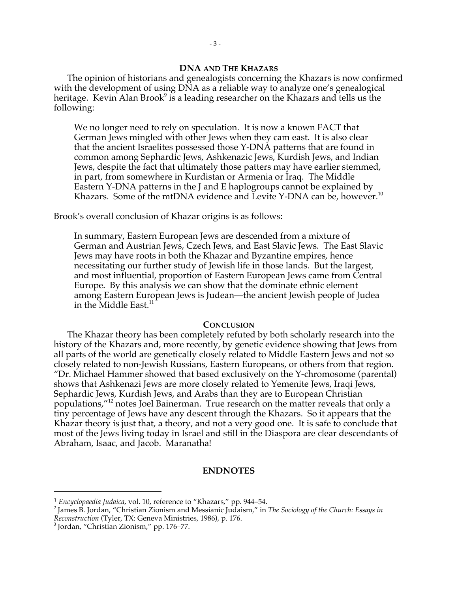### **DNA AND THE KHAZARS**

The opinion of historians and genealogists concerning the Khazars is now confirmed with the development of using DNA as a reliable way to analyze one's genealogical heritage. Kevin Alan Brook<sup>9</sup> is a leading researcher on the Khazars and tells us the following:

We no longer need to rely on speculation. It is now a known FACT that German Jews mingled with other Jews when they cam east. It is also clear that the ancient Israelites possessed those Y-DNA patterns that are found in common among Sephardic Jews, Ashkenazic Jews, Kurdish Jews, and Indian Jews, despite the fact that ultimately those patters may have earlier stemmed, in part, from somewhere in Kurdistan or Armenia or Iraq. The Middle Eastern Y-DNA patterns in the J and E haplogroups cannot be explained by Khazars. Some of the mtDNA evidence and Levite Y-DNA can be, however.<sup>10</sup>

Brook's overall conclusion of Khazar origins is as follows:

In summary, Eastern European Jews are descended from a mixture of German and Austrian Jews, Czech Jews, and East Slavic Jews. The East Slavic Jews may have roots in both the Khazar and Byzantine empires, hence necessitating our further study of Jewish life in those lands. But the largest, and most influential, proportion of Eastern European Jews came from Central Europe. By this analysis we can show that the dominate ethnic element among Eastern European Jews is Judean—the ancient Jewish people of Judea in the Middle East.<sup>11</sup>

### **CONCLUSION**

The Khazar theory has been completely refuted by both scholarly research into the history of the Khazars and, more recently, by genetic evidence showing that Jews from all parts of the world are genetically closely related to Middle Eastern Jews and not so closely related to non-Jewish Russians, Eastern Europeans, or others from that region. "Dr. Michael Hammer showed that based exclusively on the Y-chromosome (parental) shows that Ashkenazi Jews are more closely related to Yemenite Jews, Iraqi Jews, Sephardic Jews, Kurdish Jews, and Arabs than they are to European Christian populations,"12 notes Joel Bainerman. True research on the matter reveals that only a tiny percentage of Jews have any descent through the Khazars. So it appears that the Khazar theory is just that, a theory, and not a very good one. It is safe to conclude that most of the Jews living today in Israel and still in the Diaspora are clear descendants of Abraham, Isaac, and Jacob. Maranatha!

# **ENDNOTES**

 $\overline{a}$ 

<sup>1</sup> *Encyclopaedia Judaica*, vol. 10, reference to "Khazars," pp. 944–54. <sup>2</sup>

James B. Jordan, "Christian Zionism and Messianic Judaism," in *The Sociology of the Church: Essays in Reconstruction* (Tyler, TX: Geneva Ministries, 1986), p. 176. <sup>3</sup>

<sup>&</sup>lt;sup>3</sup> Jordan, "Christian Zionism," pp. 176–77.